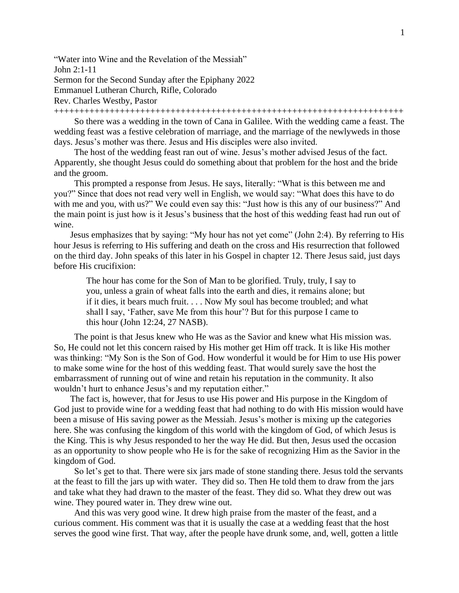"Water into Wine and the Revelation of the Messiah" John 2:1-11 Sermon for the Second Sunday after the Epiphany 2022 Emmanuel Lutheran Church, Rifle, Colorado Rev. Charles Westby, Pastor +++++++++++++++++++++++++++++++++++++++++++++++++++++++++++++++++++++

So there was a wedding in the town of Cana in Galilee. With the wedding came a feast. The wedding feast was a festive celebration of marriage, and the marriage of the newlyweds in those days. Jesus's mother was there. Jesus and His disciples were also invited.

The host of the wedding feast ran out of wine. Jesus's mother advised Jesus of the fact. Apparently, she thought Jesus could do something about that problem for the host and the bride and the groom.

This prompted a response from Jesus. He says, literally: "What is this between me and you?" Since that does not read very well in English, we would say: "What does this have to do with me and you, with us?" We could even say this: "Just how is this any of our business?" And the main point is just how is it Jesus's business that the host of this wedding feast had run out of wine.

Jesus emphasizes that by saying: "My hour has not yet come" (John 2:4). By referring to His hour Jesus is referring to His suffering and death on the cross and His resurrection that followed on the third day. John speaks of this later in his Gospel in chapter 12. There Jesus said, just days before His crucifixion:

The hour has come for the Son of Man to be glorified. Truly, truly, I say to you, unless a grain of wheat falls into the earth and dies, it remains alone; but if it dies, it bears much fruit. . . . Now My soul has become troubled; and what shall I say, 'Father, save Me from this hour'? But for this purpose I came to this hour (John 12:24, 27 NASB).

The point is that Jesus knew who He was as the Savior and knew what His mission was. So, He could not let this concern raised by His mother get Him off track. It is like His mother was thinking: "My Son is the Son of God. How wonderful it would be for Him to use His power to make some wine for the host of this wedding feast. That would surely save the host the embarrassment of running out of wine and retain his reputation in the community. It also wouldn't hurt to enhance Jesus's and my reputation either."

The fact is, however, that for Jesus to use His power and His purpose in the Kingdom of God just to provide wine for a wedding feast that had nothing to do with His mission would have been a misuse of His saving power as the Messiah. Jesus's mother is mixing up the categories here. She was confusing the kingdom of this world with the kingdom of God, of which Jesus is the King. This is why Jesus responded to her the way He did. But then, Jesus used the occasion as an opportunity to show people who He is for the sake of recognizing Him as the Savior in the kingdom of God.

So let's get to that. There were six jars made of stone standing there. Jesus told the servants at the feast to fill the jars up with water. They did so. Then He told them to draw from the jars and take what they had drawn to the master of the feast. They did so. What they drew out was wine. They poured water in. They drew wine out.

And this was very good wine. It drew high praise from the master of the feast, and a curious comment. His comment was that it is usually the case at a wedding feast that the host serves the good wine first. That way, after the people have drunk some, and, well, gotten a little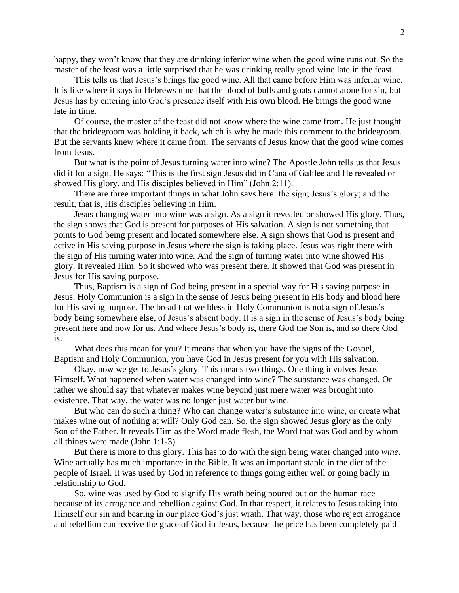happy, they won't know that they are drinking inferior wine when the good wine runs out. So the master of the feast was a little surprised that he was drinking really good wine late in the feast.

This tells us that Jesus's brings the good wine. All that came before Him was inferior wine. It is like where it says in Hebrews nine that the blood of bulls and goats cannot atone for sin, but Jesus has by entering into God's presence itself with His own blood. He brings the good wine late in time.

Of course, the master of the feast did not know where the wine came from. He just thought that the bridegroom was holding it back, which is why he made this comment to the bridegroom. But the servants knew where it came from. The servants of Jesus know that the good wine comes from Jesus.

But what is the point of Jesus turning water into wine? The Apostle John tells us that Jesus did it for a sign. He says: "This is the first sign Jesus did in Cana of Galilee and He revealed or showed His glory, and His disciples believed in Him" (John 2:11).

There are three important things in what John says here: the sign; Jesus's glory; and the result, that is, His disciples believing in Him.

Jesus changing water into wine was a sign. As a sign it revealed or showed His glory. Thus, the sign shows that God is present for purposes of His salvation. A sign is not something that points to God being present and located somewhere else. A sign shows that God is present and active in His saving purpose in Jesus where the sign is taking place. Jesus was right there with the sign of His turning water into wine. And the sign of turning water into wine showed His glory. It revealed Him. So it showed who was present there. It showed that God was present in Jesus for His saving purpose.

Thus, Baptism is a sign of God being present in a special way for His saving purpose in Jesus. Holy Communion is a sign in the sense of Jesus being present in His body and blood here for His saving purpose. The bread that we bless in Holy Communion is not a sign of Jesus's body being somewhere else, of Jesus's absent body. It is a sign in the sense of Jesus's body being present here and now for us. And where Jesus's body is, there God the Son is, and so there God is.

What does this mean for you? It means that when you have the signs of the Gospel, Baptism and Holy Communion, you have God in Jesus present for you with His salvation.

Okay, now we get to Jesus's glory. This means two things. One thing involves Jesus Himself. What happened when water was changed into wine? The substance was changed. Or rather we should say that whatever makes wine beyond just mere water was brought into existence. That way, the water was no longer just water but wine.

But who can do such a thing? Who can change water's substance into wine, or create what makes wine out of nothing at will? Only God can. So, the sign showed Jesus glory as the only Son of the Father. It reveals Him as the Word made flesh, the Word that was God and by whom all things were made (John 1:1-3).

But there is more to this glory. This has to do with the sign being water changed into *wine*. Wine actually has much importance in the Bible. It was an important staple in the diet of the people of Israel. It was used by God in reference to things going either well or going badly in relationship to God.

So, wine was used by God to signify His wrath being poured out on the human race because of its arrogance and rebellion against God. In that respect, it relates to Jesus taking into Himself our sin and bearing in our place God's just wrath. That way, those who reject arrogance and rebellion can receive the grace of God in Jesus, because the price has been completely paid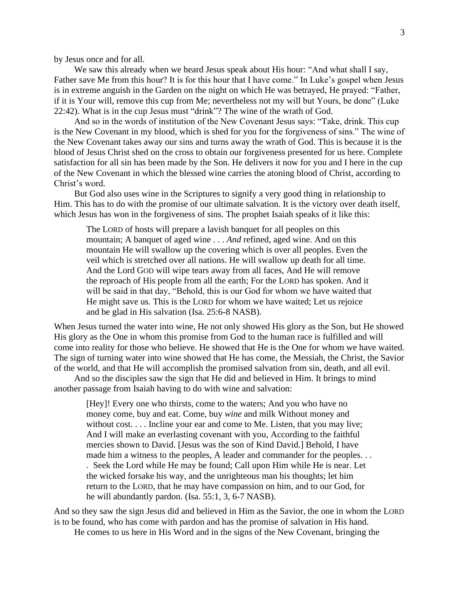by Jesus once and for all.

We saw this already when we heard Jesus speak about His hour: "And what shall I say, Father save Me from this hour? It is for this hour that I have come." In Luke's gospel when Jesus is in extreme anguish in the Garden on the night on which He was betrayed, He prayed: "Father, if it is Your will, remove this cup from Me; nevertheless not my will but Yours, be done" (Luke 22:42). What is in the cup Jesus must "drink"? The wine of the wrath of God.

And so in the words of institution of the New Covenant Jesus says: "Take, drink. This cup is the New Covenant in my blood, which is shed for you for the forgiveness of sins." The wine of the New Covenant takes away our sins and turns away the wrath of God. This is because it is the blood of Jesus Christ shed on the cross to obtain our forgiveness presented for us here. Complete satisfaction for all sin has been made by the Son. He delivers it now for you and I here in the cup of the New Covenant in which the blessed wine carries the atoning blood of Christ, according to Christ's word.

But God also uses wine in the Scriptures to signify a very good thing in relationship to Him. This has to do with the promise of our ultimate salvation. It is the victory over death itself, which Jesus has won in the forgiveness of sins. The prophet Isaiah speaks of it like this:

The LORD of hosts will prepare a lavish banquet for all peoples on this mountain; A banquet of aged wine . . . *And* refined, aged wine. And on this mountain He will swallow up the covering which is over all peoples. Even the veil which is stretched over all nations. He will swallow up death for all time. And the Lord GOD will wipe tears away from all faces, And He will remove the reproach of His people from all the earth; For the LORD has spoken. And it will be said in that day, "Behold, this is our God for whom we have waited that He might save us. This is the LORD for whom we have waited; Let us rejoice and be glad in His salvation (Isa. 25:6-8 NASB).

When Jesus turned the water into wine, He not only showed His glory as the Son, but He showed His glory as the One in whom this promise from God to the human race is fulfilled and will come into reality for those who believe. He showed that He is the One for whom we have waited. The sign of turning water into wine showed that He has come, the Messiah, the Christ, the Savior of the world, and that He will accomplish the promised salvation from sin, death, and all evil.

And so the disciples saw the sign that He did and believed in Him. It brings to mind another passage from Isaiah having to do with wine and salvation:

[Hey]! Every one who thirsts, come to the waters; And you who have no money come, buy and eat. Come, buy *wine* and milk Without money and without cost. . . . Incline your ear and come to Me. Listen, that you may live; And I will make an everlasting covenant with you, According to the faithful mercies shown to David. [Jesus was the son of Kind David.] Behold, I have made him a witness to the peoples, A leader and commander for the peoples. . . . Seek the Lord while He may be found; Call upon Him while He is near. Let the wicked forsake his way, and the unrighteous man his thoughts; let him return to the LORD, that he may have compassion on him, and to our God, for he will abundantly pardon. (Isa. 55:1, 3, 6-7 NASB).

And so they saw the sign Jesus did and believed in Him as the Savior, the one in whom the LORD is to be found, who has come with pardon and has the promise of salvation in His hand.

He comes to us here in His Word and in the signs of the New Covenant, bringing the